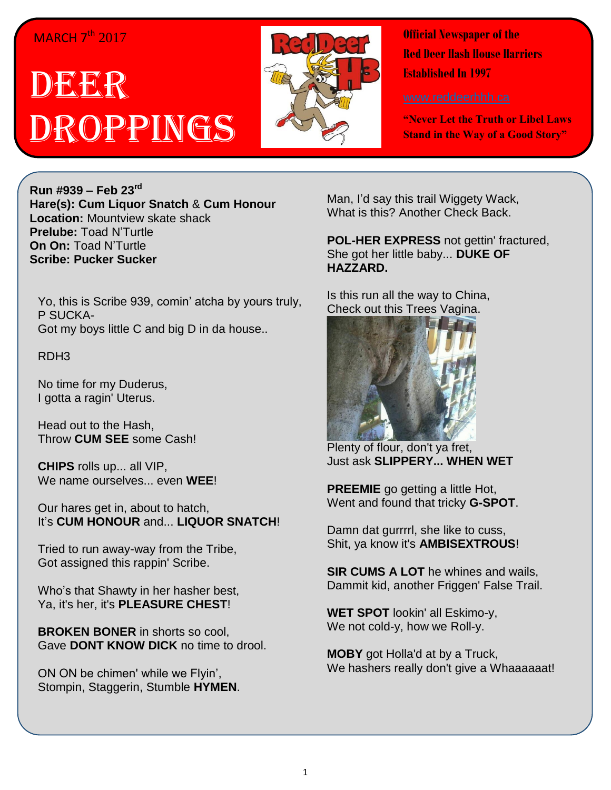## MARCH 7<sup>th</sup> 2017

## DEERR ROPPINGS



**Official Newspaper of the Red Deer Hash House Harriers Established In 1997** 

**"Never Let the Truth or Libel Laws Stand in the Way of a Good Story"**

**Run #939 – Feb 23rd Hare(s): Cum Liquor Snatch** & **Cum Honour Location:** Mountview skate shack **Prelube:** Toad N'Turtle **On On:** Toad N'Turtle **Scribe: Pucker Sucker**

Yo, this is Scribe 939, comin' atcha by yours truly, P SUCKA-Got my boys little C and big D in da house..

RDH3

No time for my Duderus, I gotta a ragin' Uterus.

Head out to the Hash, Throw **CUM SEE** some Cash!

**CHIPS** rolls up... all VIP, We name ourselves... even **WEE**!

Our hares get in, about to hatch, It's **CUM HONOUR** and... **LIQUOR SNATCH**!

Tried to run away-way from the Tribe, Got assigned this rappin' Scribe.

Who's that Shawty in her hasher best, Ya, it's her, it's **PLEASURE CHEST**!

**BROKEN BONER** in shorts so cool, Gave **DONT KNOW DICK** no time to drool.

ON ON be chimen' while we Flyin', Stompin, Staggerin, Stumble **HYMEN**. Man, I'd say this trail Wiggety Wack, What is this? Another Check Back.

**POL-HER EXPRESS** not gettin' fractured, She got her little baby... **DUKE OF HAZZARD.**

Is this run all the way to China, Check out this Trees Vagina.



Plenty of flour, don't ya fret, Just ask **SLIPPERY... WHEN WET**

**PREEMIE** go getting a little Hot, Went and found that tricky **G-SPOT**.

Damn dat gurrrrl, she like to cuss, Shit, ya know it's **AMBISEXTROUS**!

**SIR CUMS A LOT** he whines and wails, Dammit kid, another Friggen' False Trail.

**WET SPOT** lookin' all Eskimo-y, We not cold-y, how we Roll-y.

**MOBY** got Holla'd at by a Truck, We hashers really don't give a Whaaaaaat!